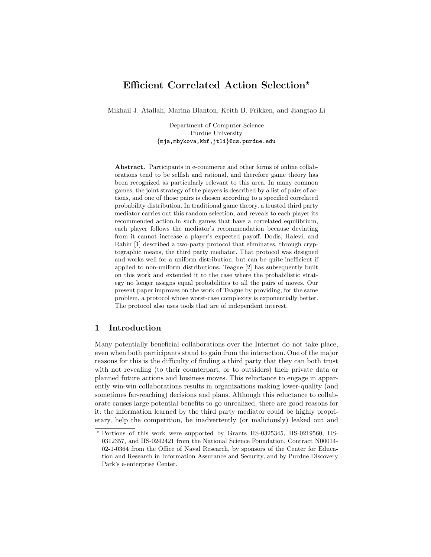# Efficient Correlated Action Selection?

Mikhail J. Atallah, Marina Blanton, Keith B. Frikken, and Jiangtao Li

Department of Computer Science Purdue University {mja,mbykova,kbf,jtli}@cs.purdue.edu

Abstract. Participants in e-commerce and other forms of online collaborations tend to be selfish and rational, and therefore game theory has been recognized as particularly relevant to this area. In many common games, the joint strategy of the players is described by a list of pairs of actions, and one of those pairs is chosen according to a specified correlated probability distribution. In traditional game theory, a trusted third party mediator carries out this random selection, and reveals to each player its recommended action.In such games that have a correlated equilibrium, each player follows the mediator's recommendation because deviating from it cannot increase a player's expected payoff. Dodis, Halevi, and Rabin [1] described a two-party protocol that eliminates, through cryptographic means, the third party mediator. That protocol was designed and works well for a uniform distribution, but can be quite inefficient if applied to non-uniform distributions. Teague [2] has subsequently built on this work and extended it to the case where the probabilistic strategy no longer assigns equal probabilities to all the pairs of moves. Our present paper improves on the work of Teague by providing, for the same problem, a protocol whose worst-case complexity is exponentially better. The protocol also uses tools that are of independent interest.

### 1 Introduction

Many potentially beneficial collaborations over the Internet do not take place, even when both participants stand to gain from the interaction. One of the major reasons for this is the difficulty of finding a third party that they can both trust with not revealing (to their counterpart, or to outsiders) their private data or planned future actions and business moves. This reluctance to engage in apparently win-win collaborations results in organizations making lower-quality (and sometimes far-reaching) decisions and plans. Although this reluctance to collaborate causes large potential benefits to go unrealized, there are good reasons for it: the information learned by the third party mediator could be highly proprietary, help the competition, be inadvertently (or maliciously) leaked out and

<sup>?</sup> Portions of this work were supported by Grants IIS-0325345, IIS-0219560, IIS-0312357, and IIS-0242421 from the National Science Foundation, Contract N00014- 02-1-0364 from the Office of Naval Research, by sponsors of the Center for Education and Research in Information Assurance and Security, and by Purdue Discovery Park's e-enterprise Center.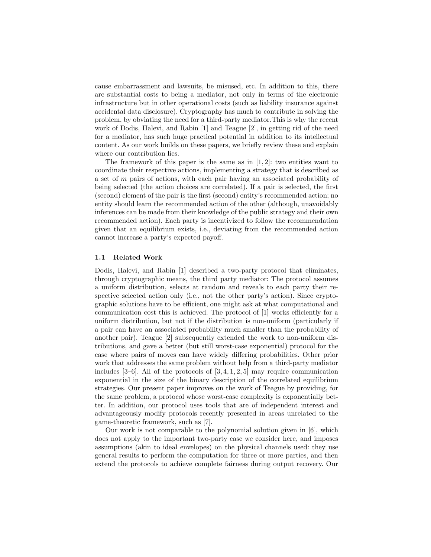cause embarrassment and lawsuits, be misused, etc. In addition to this, there are substantial costs to being a mediator, not only in terms of the electronic infrastructure but in other operational costs (such as liability insurance against accidental data disclosure). Cryptography has much to contribute in solving the problem, by obviating the need for a third-party mediator.This is why the recent work of Dodis, Halevi, and Rabin [1] and Teague [2], in getting rid of the need for a mediator, has such huge practical potential in addition to its intellectual content. As our work builds on these papers, we briefly review these and explain where our contribution lies.

The framework of this paper is the same as in  $[1, 2]$ : two entities want to coordinate their respective actions, implementing a strategy that is described as a set of m pairs of actions, with each pair having an associated probability of being selected (the action choices are correlated). If a pair is selected, the first (second) element of the pair is the first (second) entity's recommended action; no entity should learn the recommended action of the other (although, unavoidably inferences can be made from their knowledge of the public strategy and their own recommended action). Each party is incentivized to follow the recommendation given that an equilibrium exists, i.e., deviating from the recommended action cannot increase a party's expected payoff.

#### 1.1 Related Work

Dodis, Halevi, and Rabin [1] described a two-party protocol that eliminates, through cryptographic means, the third party mediator: The protocol assumes a uniform distribution, selects at random and reveals to each party their respective selected action only (i.e., not the other party's action). Since cryptographic solutions have to be efficient, one might ask at what computational and communication cost this is achieved. The protocol of [1] works efficiently for a uniform distribution, but not if the distribution is non-uniform (particularly if a pair can have an associated probability much smaller than the probability of another pair). Teague [2] subsequently extended the work to non-uniform distributions, and gave a better (but still worst-case exponential) protocol for the case where pairs of moves can have widely differing probabilities. Other prior work that addresses the same problem without help from a third-party mediator includes  $[3-6]$ . All of the protocols of  $[3, 4, 1, 2, 5]$  may require communication exponential in the size of the binary description of the correlated equilibrium strategies. Our present paper improves on the work of Teague by providing, for the same problem, a protocol whose worst-case complexity is exponentially better. In addition, our protocol uses tools that are of independent interest and advantageously modify protocols recently presented in areas unrelated to the game-theoretic framework, such as [7].

Our work is not comparable to the polynomial solution given in [6], which does not apply to the important two-party case we consider here, and imposes assumptions (akin to ideal envelopes) on the physical channels used: they use general results to perform the computation for three or more parties, and then extend the protocols to achieve complete fairness during output recovery. Our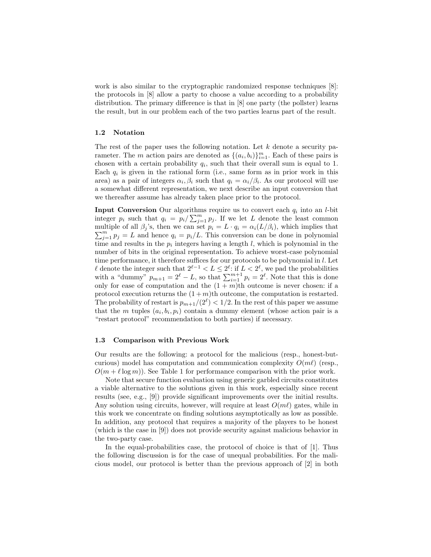work is also similar to the cryptographic randomized response techniques [8]: the protocols in [8] allow a party to choose a value according to a probability distribution. The primary difference is that in [8] one party (the pollster) learns the result, but in our problem each of the two parties learns part of the result.

### 1.2 Notation

The rest of the paper uses the following notation. Let  $k$  denote a security parameter. The m action pairs are denoted as  $\{(a_i, b_i)\}_{i=1}^m$ . Each of these pairs is chosen with a certain probability  $q_i$ , such that their overall sum is equal to 1. Each  $q_i$  is given in the rational form (i.e., same form as in prior work in this area) as a pair of integers  $\alpha_i, \beta_i$  such that  $q_i = \alpha_i/\beta_i$ . As our protocol will use a somewhat different representation, we next describe an input conversion that we thereafter assume has already taken place prior to the protocol.

**Input Conversion** Our algorithms require us to convert each  $q_i$  into an *l*-bit integer  $p_i$  such that  $q_i = p_i / \sum_{j=1}^m p_j$ . If we let L denote the least common multiple of all  $\beta_j$ 's, then we can set  $p_i = L \cdot q_i = \alpha_i (L/\beta_i)$ , which implies that  $\sum_{j=1}^{m} p_j = L$  and hence  $q_i = p_i/L$ . This conversion can be done in polynomial time and results in the  $p_i$  integers having a length  $l$ , which is polynomial in the number of bits in the original representation. To achieve worst-case polynomial time performance, it therefore suffices for our protocols to be polynomial in  $l$ . Let  $\ell$  denote the integer such that  $2^{\ell-1} < L \leq 2^{\ell}$ : if  $L < 2^{\ell}$ , we pad the probabilities with a "dummy"  $p_{m+1} = 2^{\ell} - L$ , so that  $\sum_{i=1}^{m+1} p_i = 2^{\ell}$ . Note that this is done only for ease of computation and the  $(1 + m)$ th outcome is never chosen: if a protocol execution returns the  $(1 + m)$ th outcome, the computation is restarted. The probability of restart is  $p_{m+1}/(2^{\ell}) < 1/2$ . In the rest of this paper we assume that the m tuples  $(a_i, b_i, p_i)$  contain a dummy element (whose action pair is a "restart protocol" recommendation to both parties) if necessary.

### 1.3 Comparison with Previous Work

Our results are the following: a protocol for the malicious (resp., honest-butcurious) model has computation and communication complexity  $O(m\ell)$  (resp.,  $O(m + \ell \log m)$ ). See Table 1 for performance comparison with the prior work.

Note that secure function evaluation using generic garbled circuits constitutes a viable alternative to the solutions given in this work, especially since recent results (see, e.g., [9]) provide significant improvements over the initial results. Any solution using circuits, however, will require at least  $O(m\ell)$  gates, while in this work we concentrate on finding solutions asymptotically as low as possible. In addition, any protocol that requires a majority of the players to be honest (which is the case in [9]) does not provide security against malicious behavior in the two-party case.

In the equal-probabilities case, the protocol of choice is that of [1]. Thus the following discussion is for the case of unequal probabilities. For the malicious model, our protocol is better than the previous approach of [2] in both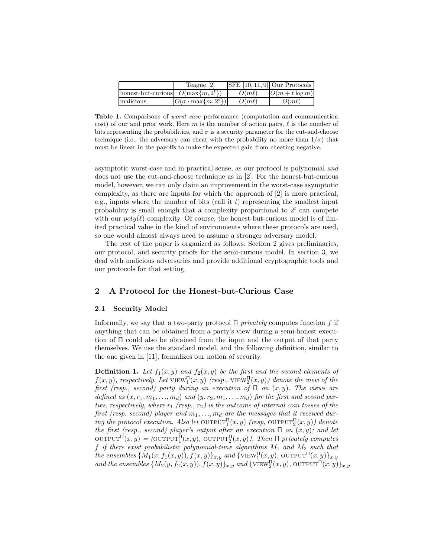|                                             | Teague [2]                              |            | $SFE$ [10, 11, 9] Our Protocols |
|---------------------------------------------|-----------------------------------------|------------|---------------------------------|
| honest-but-curious $O(\max\{m, 2^{\ell}\})$ |                                         | $O(m\ell)$ | $O(m + \ell \log m)$            |
| malicious                                   | $ O(\sigma \cdot \max\{m, 2^{\ell}\}) $ | $O(m\ell)$ | $O(m\ell)$                      |

Table 1. Comparisons of worst case performance (computation and communication cost) of our and prior work. Here m is the number of action pairs,  $\ell$  is the number of bits representing the probabilities, and  $\sigma$  is a security parameter for the cut-and-choose technique (i.e., the adversary can cheat with the probability no more than  $1/\sigma$ ) that must be linear in the payoffs to make the expected gain from cheating negative.

asymptotic worst-case and in practical sense, as our protocol is polynomial and does not use the cut-and-choose technique as in [2]. For the honest-but-curious model, however, we can only claim an improvement in the worst-case asymptotic complexity, as there are inputs for which the approach of [2] is more practical, e.g., inputs where the number of bits (call it  $t$ ) representing the smallest input probability is small enough that a complexity proportional to  $2<sup>t</sup>$  can compete with our  $poly(\ell)$  complexity. Of course, the honest-but-curious model is of limited practical value in the kind of environments where these protocols are used, so one would almost always need to assume a stronger adversary model.

The rest of the paper is organized as follows. Section 2 gives preliminaries, our protocol, and security proofs for the semi-curious model. In section 3, we deal with malicious adversaries and provide additional cryptographic tools and our protocols for that setting.

# 2 A Protocol for the Honest-but-Curious Case

### 2.1 Security Model

Informally, we say that a two-party protocol  $\Pi$  *privately* computes function f if anything that can be obtained from a party's view during a semi-honest execution of Π could also be obtained from the input and the output of that party themselves. We use the standard model, and the following definition, similar to the one given in [11], formalizes our notion of security.

**Definition 1.** Let  $f_1(x, y)$  and  $f_2(x, y)$  be the first and the second elements of  $f(x, y)$ , respectively. Let  $\text{VIEW}_1^{\Pi}(x, y)$  (resp.,  $\text{VIEW}_2^{\Pi}(x, y)$ ) denote the view of the first (resp., second) party during an execution of  $\Pi$  on  $(x, y)$ . The views are defined as  $(x, r_1, m_1, \ldots, m_d)$  and  $(y, r_2, m_1, \ldots, m_d)$  for the first and second parties, respectively, where  $r_1$  (resp.,  $r_2$ ) is the outcome of internal coin tosses of the first (resp. second) player and  $m_1, \ldots, m_d$  are the messages that it received dur- $\tilde{f}_n$  ing the protocol execution. Also let  $\text{output}_1^{\Pi}(x,y)$  (resp,  $\text{output}_2^{\Pi}(x,y)$ ) denote the first (resp., second) player's output after an execution  $\prod$  on  $(x, y)$ ; and let  $\text{overp} \Pi(x, y) = (\text{output}_1^{\Pi}(x, y), \text{output}_2^{\Pi}(x, y)).$  Then  $\Pi$  privately computes f if there exist probabilistic polynomial-time algorithms  $M_1$  and  $M_2$  such that the ensembles  $\{M_1(x,f_1(x,y)),f(x,y)\}_{x,y}$  and  $\{\mathrm{vnew}_1^\Pi(x,y),\mathrm{overpur}^\Pi(x,y)\}_{x,y}$ and the ensembles  $\{M_2(y, f_2(x, y)), f(x, y)\}_{x,y}$  and  $\{\text{VIEW}_2^{\Pi}(x, y), \text{OUTPUT}^{\Pi}(x, y)\}_{x,y}$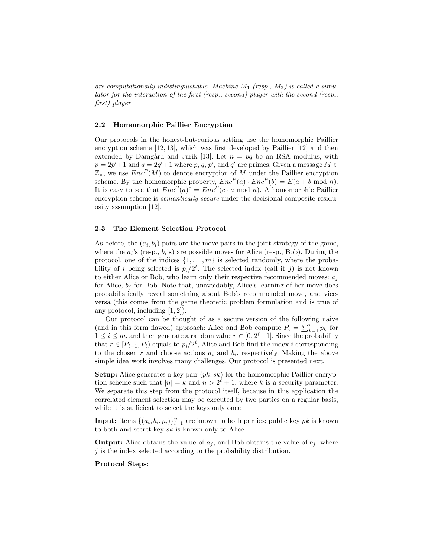are computationally indistinguishable. Machine  $M_1$  (resp.,  $M_2$ ) is called a simulator for the interaction of the first (resp., second) player with the second (resp., first) player.

### 2.2 Homomorphic Paillier Encryption

Our protocols in the honest-but-curious setting use the homomorphic Paillier encryption scheme [12, 13], which was first developed by Paillier [12] and then extended by Damgård and Jurik [13]. Let  $n = pq$  be an RSA modulus, with  $p = 2p' + 1$  and  $q = 2q' + 1$  where p, q, p', and q' are primes. Given a message  $M \in$  $\mathbb{Z}_n$ , we use  $Enc^P(M)$  to denote encryption of M under the Paillier encryption scheme. By the homomorphic property,  $Enc^{P}(a) \cdot Enc^{P}(b) = E(a + b \mod n)$ . It is easy to see that  $Enc^P(a)^c = Enc^P(c \cdot a \mod n)$ . A homomorphic Paillier encryption scheme is semantically secure under the decisional composite residuosity assumption [12].

### 2.3 The Element Selection Protocol

As before, the  $(a_i, b_i)$  pairs are the move pairs in the joint strategy of the game, where the  $a_i$ 's (resp.,  $b_i$ 's) are possible moves for Alice (resp., Bob). During the protocol, one of the indices  $\{1, \ldots, m\}$  is selected randomly, where the probability of i being selected is  $p_i/2^{\ell}$ . The selected index (call it j) is not known to either Alice or Bob, who learn only their respective recommended moves:  $a_j$ for Alice,  $b_j$  for Bob. Note that, unavoidably, Alice's learning of her move does probabilistically reveal something about Bob's recommended move, and viceversa (this comes from the game theoretic problem formulation and is true of any protocol, including [1, 2]).

Our protocol can be thought of as a secure version of the following naive (and in this form flawed) approach: Alice and Bob compute  $P_i = \sum_{k=1}^{i} p_k$  for  $1 \leq i \leq m$ , and then generate a random value  $r \in [0, 2^{\ell}-1]$ . Since the probability that  $r \in [P_{i-1}, P_i)$  equals to  $p_i/2^{\ell}$ , Alice and Bob find the index i corresponding to the chosen r and choose actions  $a_i$  and  $b_i$ , respectively. Making the above simple idea work involves many challenges. Our protocol is presented next.

**Setup:** Alice generates a key pair  $(pk, sk)$  for the homomorphic Paillier encryption scheme such that  $|n| = k$  and  $n > 2^{\ell} + 1$ , where k is a security parameter. We separate this step from the protocol itself, because in this application the correlated element selection may be executed by two parties on a regular basis, while it is sufficient to select the keys only once.

**Input:** Items  $\{(a_i, b_i, p_i)\}_{i=1}^m$  are known to both parties; public key  $pk$  is known to both and secret key  $sk$  is known only to Alice.

**Output:** Alice obtains the value of  $a_j$ , and Bob obtains the value of  $b_j$ , where  $j$  is the index selected according to the probability distribution.

### Protocol Steps: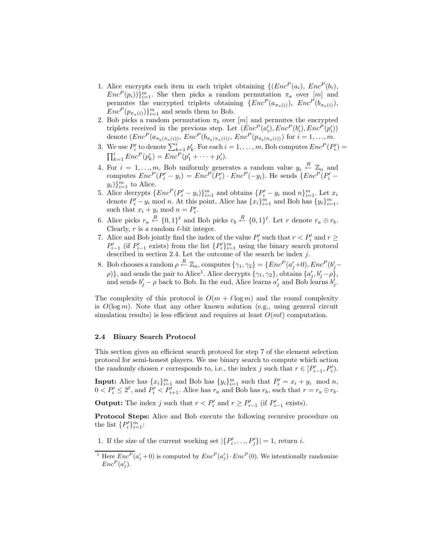- 1. Alice encrypts each item in each triplet obtaining  $\{ (Enc^P(a_i), Enc^P(b_i),$  $Enc^{P}(p_{i})\}_{i=1}^{m}$ . She then picks a random permutation  $\pi_{a}$  over  $[m]$  and permutes the encrypted triplets obtaining  $\{Enc^P(a_{\pi_a(i)})$ ,  $Enc^P(b_{\pi_a(i)})$ ,  $Enc^{P}(p_{\pi_a(i)})\}_{i=1}^m$  and sends them to Bob.
- 2. Bob picks a random permutation  $\pi_b$  over [m] and permutes the encrypted triplets received in the previous step. Let  $(Enc<sup>P</sup>(a'<sub>i</sub>), Enc<sup>P</sup>(b'<sub>i</sub>), Enc<sup>P</sup>(p'<sub>i</sub>))$ denote  $(Enc^{P}(a_{\pi_b(\pi_a(i))}, Enc^{P}(b_{\pi_b(\pi_a(i))}, Enc^{P}(p_{\pi_b(\pi_a(i))})$  for  $i = 1, ..., m$ .
- 3. We use  $P'_i$  to denote  $\sum_{k=1}^i p'_k$ . For each  $i = 1, \ldots, m$ , Bob computes  $Enc^P(P'_i)$  $\prod_{k=1}^{i} Enc^{P}(p'_{k}) = Enc^{P}(p'_{1} + \cdots + p'_{i}).$
- 4. For  $i = 1, \ldots, m$ , Bob uniformly generates a random value  $y_i \stackrel{R}{\leftarrow} \mathbb{Z}_n$  and computes  $Enc^P(P'_i - y_i) = Enc^P(P'_i) \cdot Enc^P(-y_i)$ . He sends  $\{Enc^P(P'_i - y_i) \mid T \in \mathbb{R} \mid \text{End}_i(P'_i - y_i) \}$  $(y_i)\}_{i=1}^m$  to Alice.
- 5. Alice decrypts  $\{Enc^P(P'_i y_i)\}_{i=1}^m$  and obtains  $\{P'_i y_i \text{ mod } n\}_{i=1}^m$ . Let  $x_i$ denote  $P'_i - y_i \mod n$ . At this point, Alice has  $\{x_i\}_{i=1}^m$  and Bob has  $\{y_i\}_{i=1}^m$ , such that  $x_i + y_i \mod n = P'_i$ .
- 6. Alice picks  $r_a \stackrel{R}{\leftarrow} \{0,1\}^{\ell}$  and Bob picks  $r_b \stackrel{R}{\leftarrow} \{0,1\}^{\ell}$ . Let r denote  $r_a \oplus r_b$ . Clearly,  $r$  is a random  $\ell$ -bit integer.
- 7. Alice and Bob jointly find the index of the value  $P'_i$  such that  $r < P'_i$  and  $r \geq$  $P'_{i-1}$  (if  $P'_{i-1}$  exists) from the list  $\{P'_{i}\}_{i=1}^{m}$  using the binary search protocol described in section 2.4. Let the outcome of the search be index  $j$ .
- 8. Bob chooses a random  $\rho \stackrel{R}{\leftarrow} \mathbb{Z}_n$ , computes  $\{\gamma_1, \gamma_2\} = \{Enc^P(a'_j+0), Enc^P(b'_j-1)\}$  $\rho$ }, and sends the pair to Alice<sup>1</sup>. Alice decrypts  $\{\gamma_1, \gamma_2\}$ , obtains  $\{a'_j, b'_j - \rho\}$ , and sends  $b'_j - \rho$  back to Bob. In the end, Alice learns  $a'_j$  and Bob learns  $b'_j$ .

The complexity of this protocol is  $O(m + \ell \log m)$  and the round complexity is  $O(\log m)$ . Note that any other known solution (e.g., using general circuit simulation results) is less efficient and requires at least  $O(m\ell)$  computation.

### 2.4 Binary Search Protocol

This section gives an efficient search protocol for step 7 of the element selection protocol for semi-honest players. We use binary search to compute which action the randomly chosen r corresponds to, i.e., the index j such that  $r \in [P'_{i-1}, P'_{i}).$ 

**Input:** Alice has  $\{x_i\}_{i=1}^m$  and Bob has  $\{y_i\}_{i=1}^m$  such that  $P'_i = x_i + y_i \mod n$ ,  $0 < P'_i \leq 2^{\ell}$ , and  $P'_i < P'_{i+1}$ . Alice has  $r_a$  and Bob has  $r_b$ , such that  $r = r_a \oplus r_b$ .

**Output:** The index j such that  $r < P'_i$  and  $r \ge P'_{i-1}$  (if  $P'_{i-1}$  exists).

Protocol Steps: Alice and Bob execute the following recursive procedure on the list  $\{P'_i\}_{i=1}^m$ :

1. If the size of the current working set  $|\{P'_i, ..., P'_j\}| = 1$ , return *i*.

<sup>&</sup>lt;sup>1</sup> Here  $Enc^P(a'_j + 0)$  is computed by  $Enc^P(a'_j) \cdot Enc^P(0)$ . We intentionally randomize  $Enc^P(a'_j).$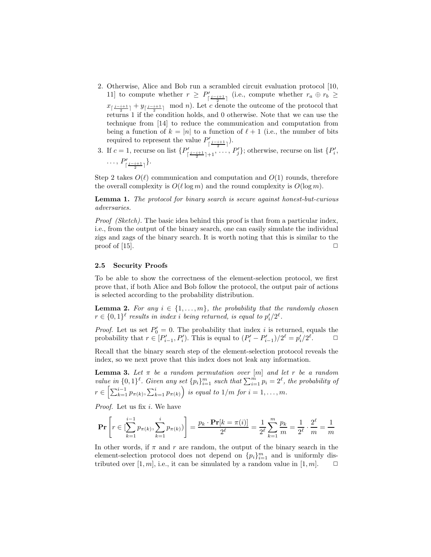- 2. Otherwise, Alice and Bob run a scrambled circuit evaluation protocol [10, 11] to compute whether  $r \geq P'_{\rm r}$  $\int_{\frac{1-i+1}{2}}^{\infty}$  (i.e., compute whether  $r_a \oplus r_b \geq$  $x_{\lceil \frac{j-i+1}{2} \rceil} + y_{\lceil \frac{j-i+1}{2} \rceil} \mod n$ . Let c denote the outcome of the protocol that returns 1 if the condition holds, and 0 otherwise. Note that we can use the technique from [14] to reduce the communication and computation from being a function of  $k = |n|$  to a function of  $\ell + 1$  (i.e., the number of bits required to represent the value  $P'_{\text{r}}$  $\binom{j-i+1}{2}$ .
- 3. If  $c = 1$ , recurse on list  $\{P'_{r,j-i+1} \}$  $\binom{p'-i+1}{2}+1,\ldots,P'_j\};$  otherwise, recurse on list  $\{P'_i,\}$  $\ldots, P'_{\mathsf{r}}$  $\frac{j-i+1}{2}$  }.

Step 2 takes  $O(\ell)$  communication and computation and  $O(1)$  rounds, therefore the overall complexity is  $O(\ell \log m)$  and the round complexity is  $O(\log m)$ .

Lemma 1. The protocol for binary search is secure against honest-but-curious adversaries.

Proof (Sketch). The basic idea behind this proof is that from a particular index, i.e., from the output of the binary search, one can easily simulate the individual zigs and zags of the binary search. It is worth noting that this is similar to the proof of  $[15]$ .

### 2.5 Security Proofs

To be able to show the correctness of the element-selection protocol, we first prove that, if both Alice and Bob follow the protocol, the output pair of actions is selected according to the probability distribution.

**Lemma 2.** For any  $i \in \{1, \ldots, m\}$ , the probability that the randomly chosen  $r \in \{0,1\}^{\ell}$  results in index i being returned, is equal to  $p'_i/2^{\ell}$ .

*Proof.* Let us set  $P'_0 = 0$ . The probability that index i is returned, equals the probability that  $r \in [P'_{i-1}, P'_{i})$ . This is equal to  $(P'_{i} - P'_{i-1})/2^{\ell} = p'_{i}/2^{\ell}$ .

Recall that the binary search step of the element-selection protocol reveals the index, so we next prove that this index does not leak any information.

**Lemma 3.** Let  $\pi$  be a random permutation over  $[m]$  and let  $r$  be a random value in  $\{0,1\}^{\ell}$ . Given any set  $\{p_i\}_{i=1}^m$  such that  $\sum_{i=1}^m p_i = 2^{\ell}$ , the probability of  $r \in \left[\sum_{k=1}^{i-1} p_{\pi(k)}, \sum_{k=1}^{i} p_{\pi(k)}\right]$  is equal to  $1/m$  for  $i = 1, \ldots, m$ .

*Proof.* Let us fix  $i$ . We have

$$
\Pr\left[r \in \left[\sum_{k=1}^{i-1} p_{\pi(k)}, \sum_{k=1}^{i} p_{\pi(k)}\right)\right] = \frac{p_k \cdot \Pr[k = \pi(i)]}{2^{\ell}} = \frac{1}{2^{\ell}} \sum_{k=1}^{m} \frac{p_k}{m} = \frac{1}{2^{\ell}} \cdot \frac{2^{\ell}}{m} = \frac{1}{m}
$$

In other words, if  $\pi$  and r are random, the output of the binary search in the element-selection protocol does not depend on  $\{p_i\}_{i=1}^m$  and is uniformly distributed over  $[1, m]$ , i.e., it can be simulated by a random value in  $[1, m]$ .  $\Box$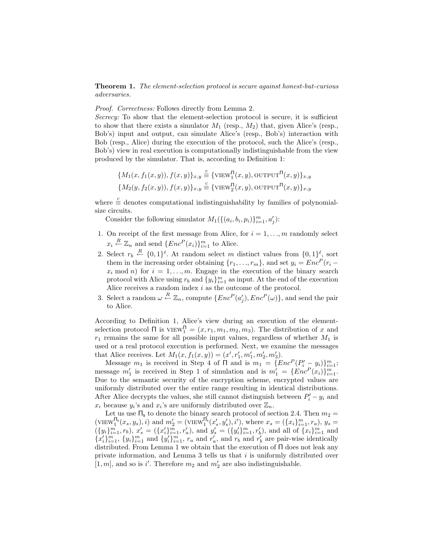**Theorem 1.** The element-selection protocol is secure against honest-but-curious adversaries.

Proof. Correctness: Follows directly from Lemma 2.

Secrecy: To show that the element-selection protocol is secure, it is sufficient to show that there exists a simulator  $M_1$  (resp.,  $M_2$ ) that, given Alice's (resp., Bob's) input and output, can simulate Alice's (resp., Bob's) interaction with Bob (resp., Alice) during the execution of the protocol, such the Alice's (resp., Bob's) view in real execution is computationally indistinguishable from the view produced by the simulator. That is, according to Definition 1:

$$
\{M_1(x, f_1(x, y)), f(x, y)\}_{x, y} \stackrel{c}{\equiv} {\rm \{VIEW}_1^{\Pi}(x, y), OUTPUT^{\Pi}(x, y)\}_{x, y}
$$
  

$$
\{M_2(y, f_2(x, y)), f(x, y)\}_{x, y} \stackrel{c}{\equiv} {\rm \{VIEW}_2^{\Pi}(x, y), OUTPUT^{\Pi}(x, y)\}_{x, y}
$$

where  $\stackrel{c}{\equiv}$  denotes computational indistinguishability by families of polynomialsize circuits.

Consider the following simulator  $M_1(\{(a_i, b_i, p_i)\}_{i=1}^m, a'_j)$ :

- 1. On receipt of the first message from Alice, for  $i = 1, \ldots, m$  randomly select  $x_i \stackrel{R}{\leftarrow} \mathbb{Z}_n$  and send  $\{Enc^P(x_i)\}_{i=1}^m$  to Alice.
- 2. Select  $r_b \stackrel{R}{\leftarrow} \{0,1\}^{\ell}$ . At random select m distinct values from  $\{0,1\}^{\ell}$ , sort them in the increasing order obtaining  $\{r_1, \ldots, r_m\}$ , and set  $y_i = Enc^P(r_i$  $x_i \mod n$  for  $i = 1, \ldots, m$ . Engage in the execution of the binary search protocol with Alice using  $r_b$  and  $\{y_i\}_{i=1}^m$  as input. At the end of the execution Alice receives a random index  $i$  as the outcome of the protocol.
- 3. Select a random  $\omega \stackrel{R}{\leftarrow} \mathbb{Z}_n$ , compute  $\{Enc^P(a'_j), Enc^P(\omega)\}\$ , and send the pair to Alice.

According to Definition 1, Alice's view during an execution of the elementselection protocol  $\Pi$  is  $VIEW_1^{\Pi} = (x, r_1, m_1, m_2, m_3)$ . The distribution of x and  $r_1$  remains the same for all possible input values, regardless of whether  $M_1$  is used or a real protocol execution is performed. Next, we examine the messages that Alice receives. Let  $M_1(x, f_1(x, y)) = (x', r'_1, m'_1, m'_2, m'_3)$ .

Message  $m_1$  is received in Step 4 of  $\Pi$  and is  $m_1 = \{Enc^P(P'_i - y_i)\}_{i=1}^m$ ; message  $m'_1$  is received in Step 1 of simulation and is  $m'_1 = \{Enc^P(x_i)\}_{i=1}^m$ . Due to the semantic security of the encryption scheme, encrypted values are uniformly distributed over the entire range resulting in identical distributions. After Alice decrypts the values, she still cannot distinguish between  $P'_i - y_i$  and  $x_i$  because  $y_i$ 's and  $x_i$ 's are uniformly distributed over  $\mathbb{Z}_n$ .

Let us use  $\Pi_s$  to denote the binary search protocol of section 2.4. Then  $m_2 =$  $(\text{VIEW}_{1}^{\Pi_{s}}(x_{s}, y_{s}), i)$  and  $m'_{2} = (\text{VIEW}_{1}^{\Pi'_{s}}(x'_{s}, y'_{s}), i')$ , where  $x_{s} = (\{x_{i}\}_{i=1}^{m}, r_{a}), y_{s} =$  $(\{y_i\}_{i=1}^m, r_b), x'_s = (\{x'_i\}_{i=1}^m, r'_a), \text{ and } y'_s = (\{y'_i\}_{i=1}^m, r'_b), \text{ and all of } \{x_i\}_{i=1}^m \text{ and }$  ${x'_{i}}}_{i=1}^{m}$ ,  ${y_{i}}_{i=1}^{m}$  and  ${y'_{i}}_{i=1}^{m}$ ,  $r_a$  and  $r'_a$ , and  $r_b$  and  $r'_b$  are pair-wise identically distributed. From Lemma 1 we obtain that the execution of Π does not leak any private information, and Lemma  $3$  tells us that  $i$  is uniformly distributed over  $[1,m],$  and so is  $i^{\prime}.$  Therefore  $m_2$  and  $m_2^{\prime}$  are also indistinguishable.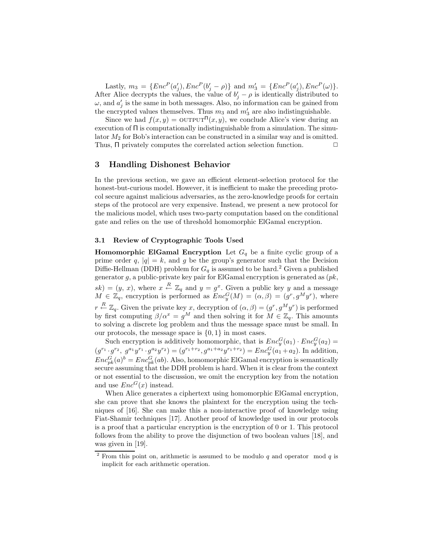Lastly,  $m_3 = \{Enc^P(a'_j), Enc^P(b'_j - \rho) \}$  and  $m'_3 = \{Enc^P(a'_j), Enc^P(\omega) \}.$ After Alice decrypts the values, the value of  $b'_j - \rho$  is identically distributed to  $\omega$ , and  $a'_{j}$  is the same in both messages. Also, no information can be gained from the encrypted values themselves. Thus  $m_3$  and  $m'_3$  are also indistinguishable.

Since we had  $f(x, y) =$  OUTPUT<sup> $\Pi(x, y)$ </sup>, we conclude Alice's view during an execution of  $\Pi$  is computationally indistinguishable from a simulation. The simulator  $M_2$  for Bob's interaction can be constructed in a similar way and is omitted. Thus,  $\Pi$  privately computes the correlated action selection function.  $\Box$ 

### 3 Handling Dishonest Behavior

In the previous section, we gave an efficient element-selection protocol for the honest-but-curious model. However, it is inefficient to make the preceding protocol secure against malicious adversaries, as the zero-knowledge proofs for certain steps of the protocol are very expensive. Instead, we present a new protocol for the malicious model, which uses two-party computation based on the conditional gate and relies on the use of threshold homomorphic ElGamal encryption.

### 3.1 Review of Cryptographic Tools Used

**Homomorphic ElGamal Encryption** Let  $G_q$  be a finite cyclic group of a prime order q,  $|q| = k$ , and g be the group's generator such that the Decision Diffie-Hellman (DDH) problem for  $G_q$  is assumed to be hard.<sup>2</sup> Given a published generator  $g$ , a public-private key pair for ElGamal encryption is generated as  $(pk,$  $sk$  =  $(y, x)$ , where  $x \stackrel{R}{\leftarrow} \mathbb{Z}_q$  and  $y = g^x$ . Given a public key y and a message  $M \in \mathbb{Z}_q$ , encryption is performed as  $Enc_y^G(M) = (\alpha, \beta) = (g^r, g^M y^r)$ , where  $r \stackrel{R}{\leftarrow} \mathbb{Z}_q$ . Given the private key x, decryption of  $(\alpha, \beta) = (g^r, g^M y^r)$  is performed by first computing  $\beta/\alpha^x = g^M$  and then solving it for  $M \in \mathbb{Z}_q$ . This amounts to solving a discrete log problem and thus the message space must be small. In our protocols, the message space is  $\{0, 1\}$  in most cases.

Such encryption is additively homomorphic, that is  $Enc_y^G(a_1) \cdot Enc_y^G(a_2) =$  $(g^{r_1} \cdot g^{r_2}, g^{a_1}y^{r_1} \cdot g^{a_2}y^{r_2}) = (g^{r_1+r_2}, g^{a_1+a_2}y^{r_1+r_2}) = Enc_y^G(a_1+a_2)$ . In addition,  $Enc_{pk}^{G}(a)^{b} = Enc_{pk}^{G}(ab)$ . Also, homomorphic ElGamal encryption is semantically secure assuming that the DDH problem is hard. When it is clear from the context or not essential to the discussion, we omit the encryption key from the notation and use  $Enc<sup>G</sup>(x)$  instead.

When Alice generates a ciphertext using homomorphic ElGamal encryption, she can prove that she knows the plaintext for the encryption using the techniques of [16]. She can make this a non-interactive proof of knowledge using Fiat-Shamir techniques [17]. Another proof of knowledge used in our protocols is a proof that a particular encryption is the encryption of 0 or 1. This protocol follows from the ability to prove the disjunction of two boolean values [18], and was given in [19].

 $2$  From this point on, arithmetic is assumed to be modulo q and operator mod q is implicit for each arithmetic operation.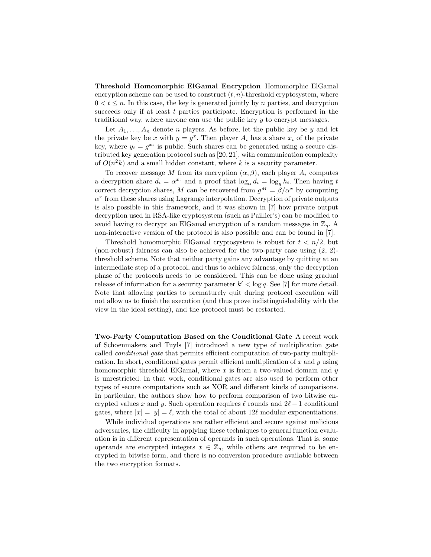Threshold Homomorphic ElGamal Encryption Homomorphic ElGamal encryption scheme can be used to construct  $(t, n)$ -threshold cryptosystem, where  $0 < t \leq n$ . In this case, the key is generated jointly by n parties, and decryption succeeds only if at least  $t$  parties participate. Encryption is performed in the traditional way, where anyone can use the public key y to encrypt messages.

Let  $A_1, \ldots, A_n$  denote n players. As before, let the public key be y and let the private key be x with  $y = g^x$ . Then player  $A_i$  has a share  $x_i$  of the private key, where  $y_i = g^{x_i}$  is public. Such shares can be generated using a secure distributed key generation protocol such as [20, 21], with communication complexity of  $O(n^2k)$  and a small hidden constant, where k is a security parameter.

To recover message M from its encryption  $(\alpha, \beta)$ , each player  $A_i$  computes a decryption share  $d_i = \alpha^{x_i}$  and a proof that  $\log_{\alpha} d_i = \log_{g} h_i$ . Then having t correct decryption shares, M can be recovered from  $q^M = \beta/\alpha^x$  by computing  $\alpha^x$  from these shares using Lagrange interpolation. Decryption of private outputs is also possible in this framework, and it was shown in [7] how private output decryption used in RSA-like cryptosystem (such as Paillier's) can be modified to avoid having to decrypt an ElGamal encryption of a random messages in  $\mathbb{Z}_q$ . A non-interactive version of the protocol is also possible and can be found in [7].

Threshold homomorphic ElGamal cryptosystem is robust for  $t < n/2$ , but (non-robust) fairness can also be achieved for the two-party case using (2, 2) threshold scheme. Note that neither party gains any advantage by quitting at an intermediate step of a protocol, and thus to achieve fairness, only the decryption phase of the protocols needs to be considered. This can be done using gradual release of information for a security parameter  $k' < \log q$ . See [7] for more detail. Note that allowing parties to prematurely quit during protocol execution will not allow us to finish the execution (and thus prove indistinguishability with the view in the ideal setting), and the protocol must be restarted.

Two-Party Computation Based on the Conditional Gate A recent work of Schoenmakers and Tuyls [7] introduced a new type of multiplication gate called conditional gate that permits efficient computation of two-party multiplication. In short, conditional gates permit efficient multiplication of x and y using homomorphic threshold ElGamal, where  $x$  is from a two-valued domain and  $y$ is unrestricted. In that work, conditional gates are also used to perform other types of secure computations such as XOR and different kinds of comparisons. In particular, the authors show how to perform comparison of two bitwise encrypted values x and y. Such operation requires  $\ell$  rounds and  $2\ell - 1$  conditional gates, where  $|x| = |y| = \ell$ , with the total of about 12 $\ell$  modular exponentiations.

While individual operations are rather efficient and secure against malicious adversaries, the difficulty in applying these techniques to general function evaluation is in different representation of operands in such operations. That is, some operands are encrypted integers  $x \in \mathbb{Z}_q$ , while others are required to be encrypted in bitwise form, and there is no conversion procedure available between the two encryption formats.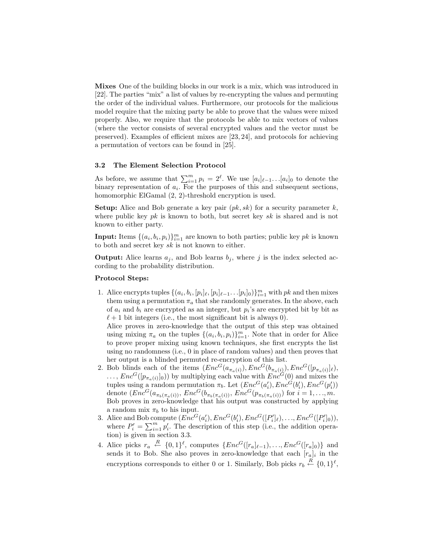Mixes One of the building blocks in our work is a mix, which was introduced in [22]. The parties "mix" a list of values by re-encrypting the values and permuting the order of the individual values. Furthermore, our protocols for the malicious model require that the mixing party be able to prove that the values were mixed properly. Also, we require that the protocols be able to mix vectors of values (where the vector consists of several encrypted values and the vector must be preserved). Examples of efficient mixes are [23, 24], and protocols for achieving a permutation of vectors can be found in [25].

### 3.2 The Element Selection Protocol

As before, we assume that  $\sum_{i=1}^{m} p_i = 2^{\ell}$ . We use  $[a_i]_{\ell-1} \dots [a_i]_0$  to denote the binary representation of  $a_i$ . For the purposes of this and subsequent sections, homomorphic ElGamal (2, 2)-threshold encryption is used.

**Setup:** Alice and Bob generate a key pair  $(pk, sk)$  for a security parameter k, where public key  $pk$  is known to both, but secret key  $sk$  is shared and is not known to either party.

**Input:** Items  $\{(a_i, b_i, p_i)\}_{i=1}^m$  are known to both parties; public key  $pk$  is known to both and secret key  $sk$  is not known to either.

**Output:** Alice learns  $a_j$ , and Bob learns  $b_j$ , where j is the index selected according to the probability distribution.

### Protocol Steps:

1. Alice encrypts tuples  $\{(a_i, b_i, [p_i]_\ell, [p_i]_{\ell-1} \dots [p_i]_0)\}_{i=1}^m$  with  $pk$  and then mixes them using a permutation  $\pi_a$  that she randomly generates. In the above, each of  $a_i$  and  $b_i$  are encrypted as an integer, but  $p_i$ 's are encrypted bit by bit as  $\ell + 1$  bit integers (i.e., the most significant bit is always 0).

Alice proves in zero-knowledge that the output of this step was obtained using mixing  $\pi_a$  on the tuples  $\{(a_i, b_i, p_i)\}_{i=1}^m$ . Note that in order for Alice to prove proper mixing using known techniques, she first encrypts the list using no randomness (i.e., 0 in place of random values) and then proves that her output is a blinded permuted re-encryption of this list.

- 2. Bob blinds each of the items  $(Enc^G(a_{\pi_a(i)}), Enc^G(b_{\pi_a(i)}), Enc^G(p_{\pi_a(i)}),$  $\ldots$ ,  $Enc^G([p_{\pi_a(i)}]_0)$  by multiplying each value with  $Enc^G(0)$  and mixes the tuples using a random permutation  $\pi_b$ . Let  $(Enc^G(a'_i), Enc^G(b'_i), Enc^G(p'_i))$ denote  $(Enc^G(a_{\pi_b(\pi_a(i))}, Enc^G(b_{\pi_b(\pi_a(i))}, Enc^G(p_{\pi_b(\pi_a(i))})$  for  $i = 1, ..., m$ . Bob proves in zero-knowledge that his output was constructed by applying a random mix  $\pi_b$  to his input.
- 3. Alice and Bob compute  $(Enc^G(a'_i), Enc^G(b'_i), Enc^G([P'_i]_\ell), ..., Enc^G([P'_i]_0)),$ where  $P_i' = \sum_{i=1}^m p_i'$ . The description of this step (i.e., the addition operation) is given in section 3.3.
- 4. Alice picks  $r_a \stackrel{R}{\leftarrow} \{0,1\}^{\ell}$ , computes  $\{Enc^G([r_a]_{\ell-1}), \ldots, Enc^G([r_a]_0)\}$  and sends it to Bob. She also proves in zero-knowledge that each  $[r_a]_i$  in the encryptions corresponds to either 0 or 1. Similarly, Bob picks  $r_b \stackrel{R}{\leftarrow} \{0,1\}^{\ell}$ ,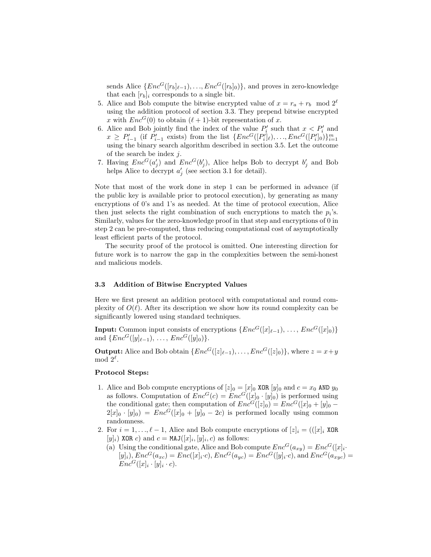sends Alice  $\{Enc^G([r_b]_{\ell-1}), \ldots, Enc^G([r_b]_0)\}$ , and proves in zero-knowledge that each  $[r_b]_i$  corresponds to a single bit.

- 5. Alice and Bob compute the bitwise encrypted value of  $x = r_a + r_b \mod 2^{\ell}$ using the addition protocol of section 3.3. They prepend bitwise encrypted x with  $Enc^G(0)$  to obtain  $(\ell + 1)$ -bit representation of x.
- 6. Alice and Bob jointly find the index of the value  $P'_i$  such that  $x < P'_i$  and  $x \ge P'_{i-1}$  (if  $P'_{i-1}$  exists) from the list  $\{Enc^G([P'_{i}]\ell), ..., Enc^G([P'_{i}]_0)\}_{i=1}^m$ using the binary search algorithm described in section 3.5. Let the outcome of the search be index  $i$ .
- 7. Having  $Enc^G(a'_j)$  and  $Enc^G(b'_j)$ , Alice helps Bob to decrypt  $b'_j$  and Bob helps Alice to decrypt  $a'_{j}$  (see section 3.1 for detail).

Note that most of the work done in step 1 can be performed in advance (if the public key is available prior to protocol execution), by generating as many encryptions of 0's and 1's as needed. At the time of protocol execution, Alice then just selects the right combination of such encryptions to match the  $p_i$ 's. Similarly, values for the zero-knowledge proof in that step and encryptions of 0 in step 2 can be pre-computed, thus reducing computational cost of asymptotically least efficient parts of the protocol.

The security proof of the protocol is omitted. One interesting direction for future work is to narrow the gap in the complexities between the semi-honest and malicious models.

#### 3.3 Addition of Bitwise Encrypted Values

Here we first present an addition protocol with computational and round complexity of  $O(\ell)$ . After its description we show how its round complexity can be significantly lowered using standard techniques.

**Input:** Common input consists of encryptions  $\{Enc^G([x]_{\ell-1}), \ldots, Enc^G([x]_0)\}$ and  $\{Enc^G([y]_{\ell-1}), \ldots, Enc^G([y]_0)\}.$ 

**Output:** Alice and Bob obtain  $\{Enc^G([z]_{\ell-1}), \ldots, Enc^G([z]_0)\}$ , where  $z = x+y$  $\mod 2^{\ell}$ .

#### Protocol Steps:

- 1. Alice and Bob compute encryptions of  $[z]_0 = [x]_0$  XOR  $[y]_0$  and  $c = x_0$  AND  $y_0$ as follows. Computation of  $Enc<sup>G</sup>(c) = Enc<sup>G</sup>([x]<sub>0</sub> \cdot [y]<sub>0</sub>)$  is performed using the conditional gate; then computation of  $Enc^{G}([z]_0) = Enc^{G}([x]_0 + [y]_0 2[x]_0 \cdot [y]_0$  =  $Enc^G([x]_0 + [y]_0 - 2c)$  is performed locally using common randomness.
- 2. For  $i = 1, \ldots, \ell 1$ , Alice and Bob compute encryptions of  $[z]_i = (([x]_i \times \mathbb{OR})$  $[y]_i$ ) XOR c) and  $c = \text{MAJ}([x]_i, [y]_i, c)$  as follows:
	- (a) Using the conditional gate, Alice and Bob compute  $Enc^G(a_{xy}) = Enc^G([x]_i$ .  $[y]_i$ ,  $Enc^G(a_{xc}) = Enc([x]_i \cdot c)$ ,  $Enc^G(a_{yc}) = Enc^G([y]_i \cdot c)$ , and  $Enc^G(a_{xyc}) =$  $Enc^G([x]_i \cdot [y]_i \cdot c).$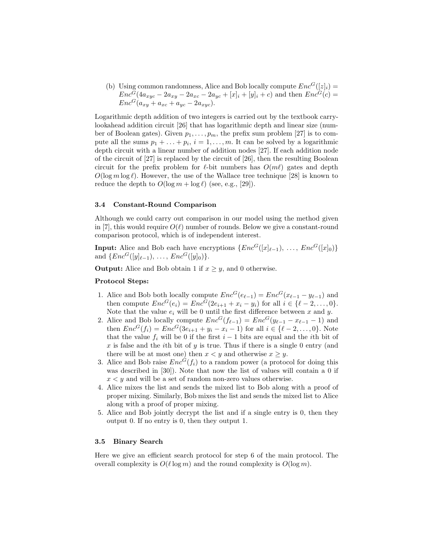(b) Using common randomness, Alice and Bob locally compute  $Enc^G([z]_i)$  =  $Enc^{\widetilde{G}}(4a_{xyc} - 2a_{xy} - 2a_{xc} - 2a_{yc} + [x]_i + [y]_i + c)$  and then  $Enc^{\widetilde{G}}(c) =$  $Enc^{G}(a_{xy} + a_{xc} + a_{yc} - 2a_{xyc}).$ 

Logarithmic depth addition of two integers is carried out by the textbook carrylookahead addition circuit [26] that has logarithmic depth and linear size (number of Boolean gates). Given  $p_1, \ldots, p_m$ , the prefix sum problem [27] is to compute all the sums  $p_1 + \ldots + p_i$ ,  $i = 1, \ldots, m$ . It can be solved by a logarithmic depth circuit with a linear number of addition nodes [27]. If each addition node of the circuit of [27] is replaced by the circuit of [26], then the resulting Boolean circuit for the prefix problem for  $\ell$ -bit numbers has  $O(m\ell)$  gates and depth  $O(\log m \log \ell)$ . However, the use of the Wallace tree technique [28] is known to reduce the depth to  $O(\log m + \log \ell)$  (see, e.g., [29]).

### 3.4 Constant-Round Comparison

Although we could carry out comparison in our model using the method given in [7], this would require  $O(\ell)$  number of rounds. Below we give a constant-round comparison protocol, which is of independent interest.

**Input:** Alice and Bob each have encryptions  $\{Enc^G([x]_{\ell-1}), \ldots, Enc^G([x]_0)\}$ and  $\{Enc^G([y]_{\ell-1}), \ldots, Enc^G([y]_0)\}.$ 

**Output:** Alice and Bob obtain 1 if  $x \geq y$ , and 0 otherwise.

### Protocol Steps:

- 1. Alice and Bob both locally compute  $Enc^G(e_{\ell-1}) = Enc^G(x_{\ell-1} y_{\ell-1})$  and then compute  $Enc^G(e_i) = Enc^G(2e_{i+1} + x_i - y_i)$  for all  $i \in \{\ell - 2, ..., 0\}.$ Note that the value  $e_i$  will be 0 until the first difference between x and y.
- 2. Alice and Bob locally compute  $Enc^G(f_{\ell-1}) = Enc^G(y_{\ell-1} x_{\ell-1} 1)$  and then  $Enc^G(f_i) = Enc^G(3e_{i+1} + y_i - x_i - 1)$  for all  $i \in \{\ell - 2, ..., 0\}$ . Note that the value  $f_i$  will be 0 if the first  $i-1$  bits are equal and the *i*th bit of x is false and the *i*th bit of y is true. Thus if there is a single 0 entry (and there will be at most one) then  $x < y$  and otherwise  $x \geq y$ .
- 3. Alice and Bob raise  $Enc<sup>G</sup>(f<sub>i</sub>)$  to a random power (a protocol for doing this was described in [30]). Note that now the list of values will contain a 0 if  $x \leq y$  and will be a set of random non-zero values otherwise.
- 4. Alice mixes the list and sends the mixed list to Bob along with a proof of proper mixing. Similarly, Bob mixes the list and sends the mixed list to Alice along with a proof of proper mixing.
- 5. Alice and Bob jointly decrypt the list and if a single entry is 0, then they output 0. If no entry is 0, then they output 1.

### 3.5 Binary Search

Here we give an efficient search protocol for step 6 of the main protocol. The overall complexity is  $O(\ell \log m)$  and the round complexity is  $O(\log m)$ .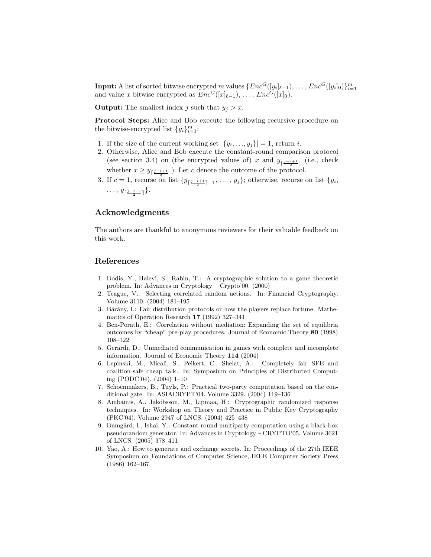**Input:** A list of sorted bitwise encrypted m values  $\{Enc^G([y_i]_{\ell-1}), \ldots, Enc^G([y_i]_0)\}_{i=1}^m$ and value x bitwise encrypted as  $Enc<sup>G</sup>([x]_{\ell-1}), \ldots, Enc<sup>G</sup>([x]_0).$ 

**Output:** The smallest index j such that  $y_j > x$ .

Protocol Steps: Alice and Bob execute the following recursive procedure on the bitwise-encrypted list  $\{y_i\}_{i=1}^m$ :

- 1. If the size of the current working set  $|\{y_i, \ldots, y_j\}| = 1$ , return *i*.
- 2. Otherwise, Alice and Bob execute the constant-round comparison protocol (see section 3.4) on (the encrypted values of) x and  $y_{\lceil \frac{j-i+1}{2} \rceil}$  (i.e., check whether  $x \geq y_{\lceil \frac{j-i+1}{2} \rceil}$ ). Let c denote the outcome of the protocol.
- 3. If  $c = 1$ , recurse on list  $\{y_{\lceil \frac{j-i+1}{2} \rceil+1}, \ldots, y_j\}$ ; otherwise, recurse on list  $\{y_i,$  $\ldots, y_{\lceil \frac{j-i+1}{2} \rceil}\}$ .

# Acknowledgments

The authors are thankful to anonymous reviewers for their valuable feedback on this work.

## References

- 1. Dodis, Y., Halevi, S., Rabin, T.: A cryptographic solution to a game theoretic problem. In: Advances in Cryptology – Crypto'00. (2000)
- 2. Teague, V.: Selecting correlated random actions. In: Financial Cryptography. Volume 3110. (2004) 181–195
- 3. Bárány, I.: Fair distribution protocols or how the players replace fortune. Mathematics of Operation Research 17 (1992) 327–341
- 4. Ben-Porath, E.: Correlation without mediation: Expanding the set of equilibria outcomes by "cheap" pre-play procedures. Journal of Economic Theory 80 (1998) 108–122
- 5. Gerardi, D.: Unmediated communication in games with complete and incomplete information. Journal of Economic Theory 114 (2004)
- 6. Lepinski, M., Micali, S., Peikert, C., Shelat, A.: Completely fair SFE and coalition-safe cheap talk. In: Symposium on Principles of Distributed Computing (PODC'04). (2004) 1–10
- 7. Schoenmakers, B., Tuyls, P.: Practical two-party computation based on the conditional gate. In: ASIACRYPT'04. Volume 3329. (2004) 119–136
- 8. Ambainis, A., Jakobsson, M., Lipmaa, H.: Cryptographic randomized response techniques. In: Workshop on Theory and Practice in Public Key Cryptography (PKC'04). Volume 2947 of LNCS. (2004) 425–438
- 9. Damgård, I., Ishai, Y.: Constant-round multiparty computation using a black-box pseudorandom generator. In: Advances in Cryptology – CRYPTO'05. Volume 3621 of LNCS. (2005) 378–411
- 10. Yao, A.: How to generate and exchange secrets. In: Proceedings of the 27th IEEE Symposium on Foundations of Computer Science, IEEE Computer Society Press (1986) 162–167